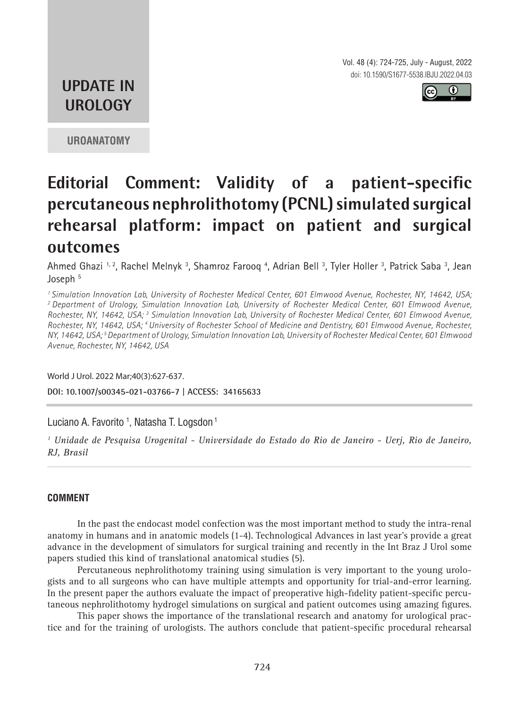Vol. 48 (4): 724-725, July - August, 2022 doi: 10.1590/S1677-5538.IBJU.2022.04.03



## **UPDATE IN UROLOGY**

**UROANATOMY**

# **Editorial Comment: Validity of a patient-specific percutaneous nephrolithotomy (PCNL) simulated surgical rehearsal platform: impact on patient and surgical outcomes**

Ahmed Ghazi 1,2, Rachel Melnyk 3, Shamroz Farooq 4, Adrian Bell 3, Tyler Holler 3, Patrick Saba 3, Jean Joseph<sup>5</sup>

*1 Simulation Innovation Lab, University of Rochester Medical Center, 601 Elmwood Avenue, Rochester, NY, 14642, USA; 2 Department of Urology, Simulation Innovation Lab, University of Rochester Medical Center, 601 Elmwood Avenue, Rochester, NY, 14642, USA; 3 Simulation Innovation Lab, University of Rochester Medical Center, 601 Elmwood Avenue, Rochester, NY, 14642, USA; 4 University of Rochester School of Medicine and Dentistry, 601 Elmwood Avenue, Rochester, NY, 14642, USA; 5 Department of Urology, Simulation Innovation Lab, University of Rochester Medical Center, 601 Elmwood Avenue, Rochester, NY, 14642, USA*

World J Urol. 2022 Mar;40(3):627-637.

**DOI: 10.1007/s00345-021-03766-7 | ACCESS: 34165633 \_\_\_\_\_\_\_\_\_\_\_\_\_\_\_\_\_\_\_\_\_\_\_\_\_\_\_\_\_\_\_\_\_\_\_\_\_\_\_\_\_\_\_\_\_**

Luciano A. Favorito <sup>1</sup>, Natasha T. Logsdon <sup>1</sup>

*1 Unidade de Pesquisa Urogenital - Universidade do Estado do Rio de Janeiro - Uerj, Rio de Janeiro, RJ, Brasil*

*\_\_\_\_\_\_\_\_\_\_\_\_\_\_\_\_\_\_\_\_\_\_\_\_\_\_\_\_\_\_\_\_\_\_\_\_\_\_\_\_\_\_\_\_\_\_\_\_\_\_\_\_\_\_\_\_\_\_\_\_\_\_\_\_\_\_\_\_\_\_\_\_\_\_\_\_\_\_\_\_\_\_\_\_\_\_\_*

### **COMMENT**

In the past the endocast model confection was the most important method to study the intra-renal anatomy in humans and in anatomic models (1-4). Technological Advances in last year's provide a great advance in the development of simulators for surgical training and recently in the Int Braz J Urol some papers studied this kind of translational anatomical studies (5).

Percutaneous nephrolithotomy training using simulation is very important to the young urologists and to all surgeons who can have multiple attempts and opportunity for trial-and-error learning. In the present paper the authors evaluate the impact of preoperative high-fidelity patient-specific percutaneous nephrolithotomy hydrogel simulations on surgical and patient outcomes using amazing figures.

This paper shows the importance of the translational research and anatomy for urological practice and for the training of urologists. The authors conclude that patient-specific procedural rehearsal